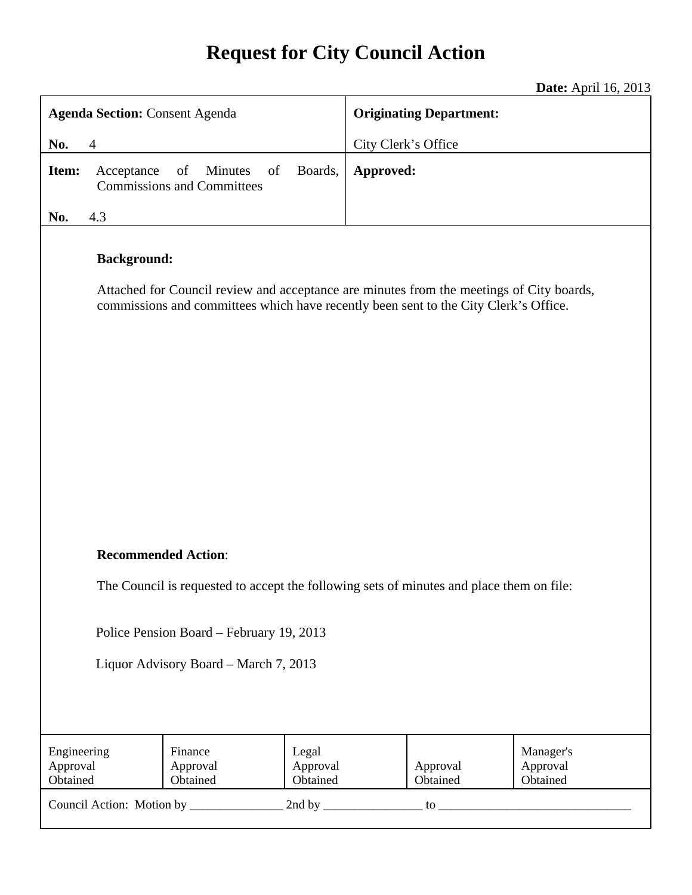# **Request for City Council Action**

**Date:** April 16, 2013

| <b>Agenda Section: Consent Agenda</b>                                                                                                                                                                  |                                                                 |                               | <b>Originating Department:</b> |                      |                                   |
|--------------------------------------------------------------------------------------------------------------------------------------------------------------------------------------------------------|-----------------------------------------------------------------|-------------------------------|--------------------------------|----------------------|-----------------------------------|
| No.<br>$\overline{4}$                                                                                                                                                                                  |                                                                 | City Clerk's Office           |                                |                      |                                   |
| Item:<br>Acceptance                                                                                                                                                                                    | of<br><b>Minutes</b><br>of<br><b>Commissions and Committees</b> | Boards,                       | Approved:                      |                      |                                   |
| No.<br>4.3                                                                                                                                                                                             |                                                                 |                               |                                |                      |                                   |
| <b>Background:</b><br>Attached for Council review and acceptance are minutes from the meetings of City boards,<br>commissions and committees which have recently been sent to the City Clerk's Office. |                                                                 |                               |                                |                      |                                   |
| <b>Recommended Action:</b>                                                                                                                                                                             |                                                                 |                               |                                |                      |                                   |
| The Council is requested to accept the following sets of minutes and place them on file:                                                                                                               |                                                                 |                               |                                |                      |                                   |
| Police Pension Board – February 19, 2013<br>Liquor Advisory Board – March 7, 2013                                                                                                                      |                                                                 |                               |                                |                      |                                   |
| Engineering<br>Approval<br>Obtained                                                                                                                                                                    | Finance<br>Approval<br>Obtained                                 | Legal<br>Approval<br>Obtained |                                | Approval<br>Obtained | Manager's<br>Approval<br>Obtained |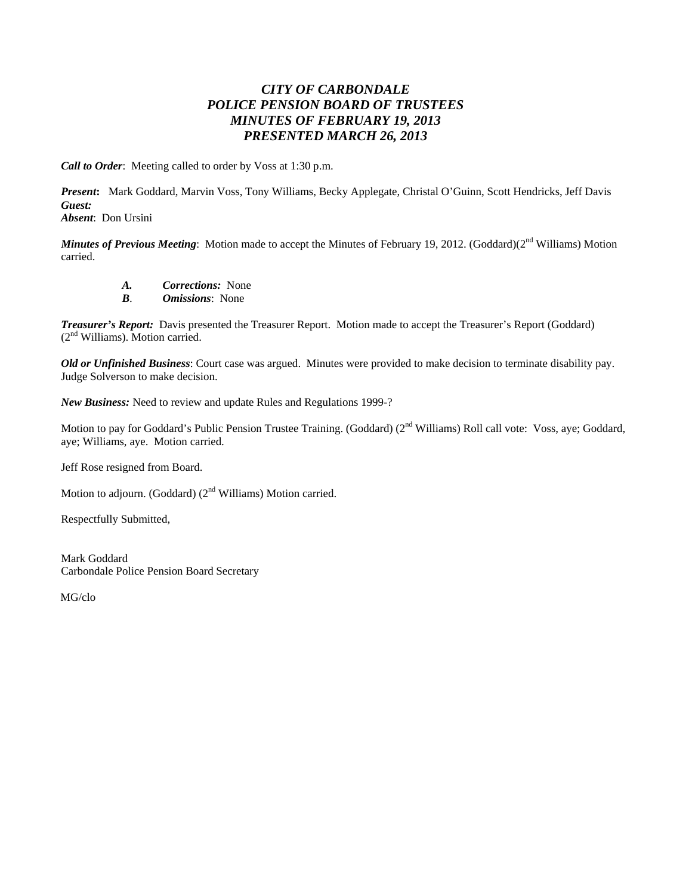# *CITY OF CARBONDALE POLICE PENSION BOARD OF TRUSTEES MINUTES OF FEBRUARY 19, 2013 PRESENTED MARCH 26, 2013*

*Call to Order*: Meeting called to order by Voss at 1:30 p.m.

*Present***:** Mark Goddard, Marvin Voss, Tony Williams, Becky Applegate, Christal O'Guinn, Scott Hendricks, Jeff Davis *Guest:* 

*Absent*: Don Ursini

*Minutes of Previous Meeting*: Motion made to accept the Minutes of February 19, 2012. (Goddard)(2<sup>nd</sup> Williams) Motion carried.

*A. Corrections:* None

*B*. *Omissions*: None

*Treasurer's Report:* Davis presented the Treasurer Report. Motion made to accept the Treasurer's Report (Goddard) (2nd Williams). Motion carried.

*Old or Unfinished Business*: Court case was argued. Minutes were provided to make decision to terminate disability pay. Judge Solverson to make decision.

*New Business:* Need to review and update Rules and Regulations 1999-?

Motion to pay for Goddard's Public Pension Trustee Training. (Goddard) (2<sup>nd</sup> Williams) Roll call vote: Voss, aye; Goddard, aye; Williams, aye. Motion carried.

Jeff Rose resigned from Board.

Motion to adjourn. (Goddard) (2<sup>nd</sup> Williams) Motion carried.

Respectfully Submitted,

Mark Goddard Carbondale Police Pension Board Secretary

MG/clo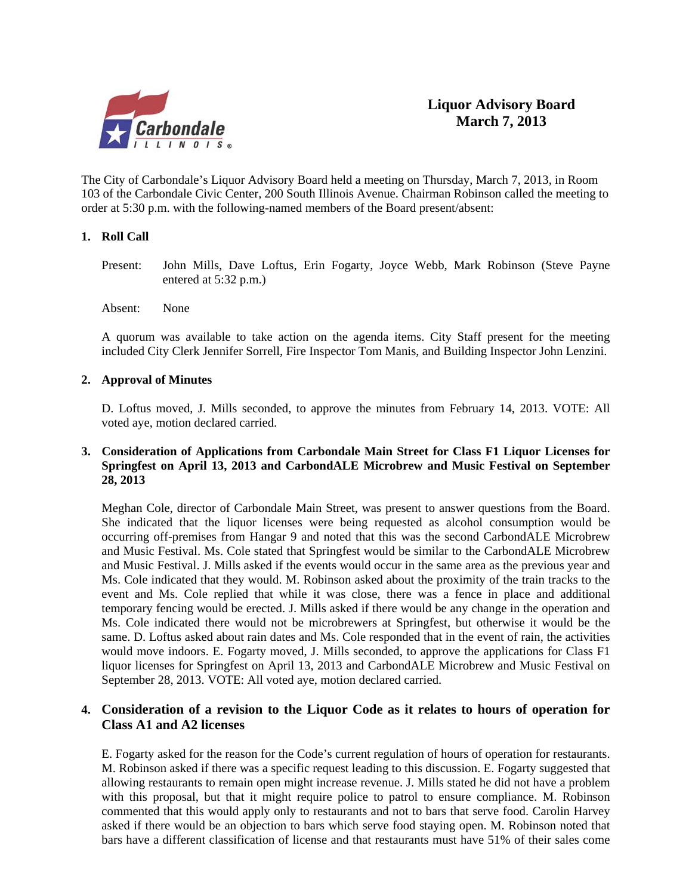

The City of Carbondale's Liquor Advisory Board held a meeting on Thursday, March 7, 2013, in Room 103 of the Carbondale Civic Center, 200 South Illinois Avenue. Chairman Robinson called the meeting to order at 5:30 p.m. with the following-named members of the Board present/absent:

#### **1. Roll Call**

Present: John Mills, Dave Loftus, Erin Fogarty, Joyce Webb, Mark Robinson (Steve Payne entered at 5:32 p.m.)

Absent: None

A quorum was available to take action on the agenda items. City Staff present for the meeting included City Clerk Jennifer Sorrell, Fire Inspector Tom Manis, and Building Inspector John Lenzini.

#### **2. Approval of Minutes**

D. Loftus moved, J. Mills seconded, to approve the minutes from February 14, 2013. VOTE: All voted aye, motion declared carried.

#### **3. Consideration of Applications from Carbondale Main Street for Class F1 Liquor Licenses for Springfest on April 13, 2013 and CarbondALE Microbrew and Music Festival on September 28, 2013**

 Meghan Cole, director of Carbondale Main Street, was present to answer questions from the Board. She indicated that the liquor licenses were being requested as alcohol consumption would be occurring off-premises from Hangar 9 and noted that this was the second CarbondALE Microbrew and Music Festival. Ms. Cole stated that Springfest would be similar to the CarbondALE Microbrew and Music Festival. J. Mills asked if the events would occur in the same area as the previous year and Ms. Cole indicated that they would. M. Robinson asked about the proximity of the train tracks to the event and Ms. Cole replied that while it was close, there was a fence in place and additional temporary fencing would be erected. J. Mills asked if there would be any change in the operation and Ms. Cole indicated there would not be microbrewers at Springfest, but otherwise it would be the same. D. Loftus asked about rain dates and Ms. Cole responded that in the event of rain, the activities would move indoors. E. Fogarty moved, J. Mills seconded, to approve the applications for Class F1 liquor licenses for Springfest on April 13, 2013 and CarbondALE Microbrew and Music Festival on September 28, 2013. VOTE: All voted aye, motion declared carried.

## **4. Consideration of a revision to the Liquor Code as it relates to hours of operation for Class A1 and A2 licenses**

E. Fogarty asked for the reason for the Code's current regulation of hours of operation for restaurants. M. Robinson asked if there was a specific request leading to this discussion. E. Fogarty suggested that allowing restaurants to remain open might increase revenue. J. Mills stated he did not have a problem with this proposal, but that it might require police to patrol to ensure compliance. M. Robinson commented that this would apply only to restaurants and not to bars that serve food. Carolin Harvey asked if there would be an objection to bars which serve food staying open. M. Robinson noted that bars have a different classification of license and that restaurants must have 51% of their sales come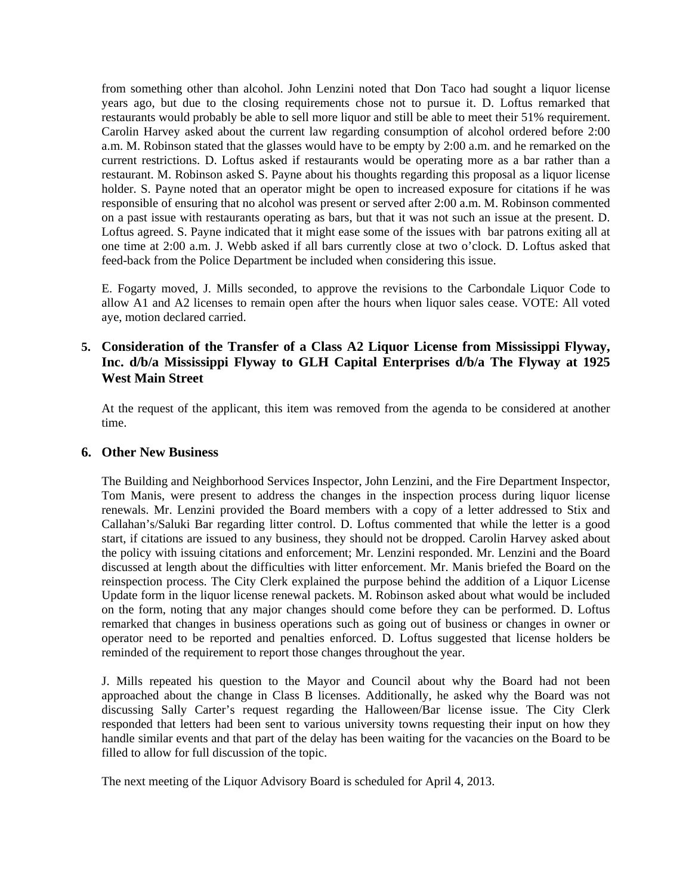from something other than alcohol. John Lenzini noted that Don Taco had sought a liquor license years ago, but due to the closing requirements chose not to pursue it. D. Loftus remarked that restaurants would probably be able to sell more liquor and still be able to meet their 51% requirement. Carolin Harvey asked about the current law regarding consumption of alcohol ordered before 2:00 a.m. M. Robinson stated that the glasses would have to be empty by 2:00 a.m. and he remarked on the current restrictions. D. Loftus asked if restaurants would be operating more as a bar rather than a restaurant. M. Robinson asked S. Payne about his thoughts regarding this proposal as a liquor license holder. S. Payne noted that an operator might be open to increased exposure for citations if he was responsible of ensuring that no alcohol was present or served after 2:00 a.m. M. Robinson commented on a past issue with restaurants operating as bars, but that it was not such an issue at the present. D. Loftus agreed. S. Payne indicated that it might ease some of the issues with bar patrons exiting all at one time at 2:00 a.m. J. Webb asked if all bars currently close at two o'clock. D. Loftus asked that feed-back from the Police Department be included when considering this issue.

 E. Fogarty moved, J. Mills seconded, to approve the revisions to the Carbondale Liquor Code to allow A1 and A2 licenses to remain open after the hours when liquor sales cease. VOTE: All voted aye, motion declared carried.

## **5. Consideration of the Transfer of a Class A2 Liquor License from Mississippi Flyway, Inc. d/b/a Mississippi Flyway to GLH Capital Enterprises d/b/a The Flyway at 1925 West Main Street**

 At the request of the applicant, this item was removed from the agenda to be considered at another time.

#### **6. Other New Business**

The Building and Neighborhood Services Inspector, John Lenzini, and the Fire Department Inspector, Tom Manis, were present to address the changes in the inspection process during liquor license renewals. Mr. Lenzini provided the Board members with a copy of a letter addressed to Stix and Callahan's/Saluki Bar regarding litter control. D. Loftus commented that while the letter is a good start, if citations are issued to any business, they should not be dropped. Carolin Harvey asked about the policy with issuing citations and enforcement; Mr. Lenzini responded. Mr. Lenzini and the Board discussed at length about the difficulties with litter enforcement. Mr. Manis briefed the Board on the reinspection process. The City Clerk explained the purpose behind the addition of a Liquor License Update form in the liquor license renewal packets. M. Robinson asked about what would be included on the form, noting that any major changes should come before they can be performed. D. Loftus remarked that changes in business operations such as going out of business or changes in owner or operator need to be reported and penalties enforced. D. Loftus suggested that license holders be reminded of the requirement to report those changes throughout the year.

 J. Mills repeated his question to the Mayor and Council about why the Board had not been approached about the change in Class B licenses. Additionally, he asked why the Board was not discussing Sally Carter's request regarding the Halloween/Bar license issue. The City Clerk responded that letters had been sent to various university towns requesting their input on how they handle similar events and that part of the delay has been waiting for the vacancies on the Board to be filled to allow for full discussion of the topic.

The next meeting of the Liquor Advisory Board is scheduled for April 4, 2013.